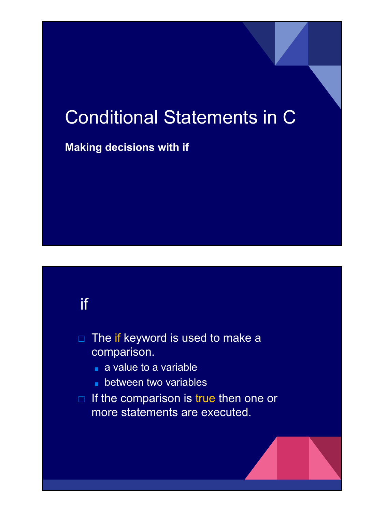# Conditional Statements in C

#### **Making decisions with if**

### if

- $\Box$  The if keyword is used to make a comparison.
	- a value to a variable
	- between two variables
- □ If the comparison is true then one or more statements are executed.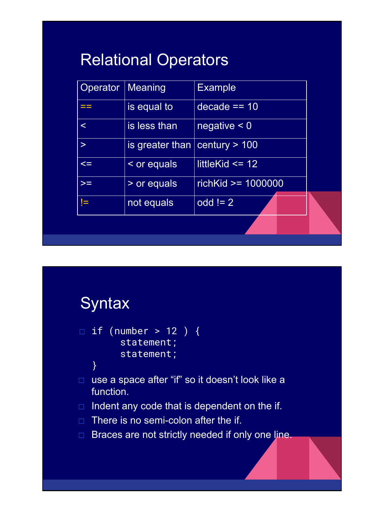# Relational Operators

| Operator | Meaning                             | <b>Example</b>       |  |
|----------|-------------------------------------|----------------------|--|
| ==       | is equal to                         | $decade == 10$       |  |
| $\prec$  | is less than                        | negative < 0         |  |
| $\geq$   | is greater than $ $ century $> 100$ |                      |  |
| $\leq$   | < or equals                         | littleKid $\leq 12$  |  |
| $>=$     | > or equals                         | $richKid$ >= 1000000 |  |
| ļ=       | not equals                          | $odd != 2$           |  |
|          |                                     |                      |  |



```
□ if (number > 12 ) {
        statement;
        statement;
```
}

- □ use a space after "if" so it doesn't look like a function.
- $\Box$  Indent any code that is dependent on the if.
- $\Box$  There is no semi-colon after the if.
- □ Braces are not strictly needed if only one line.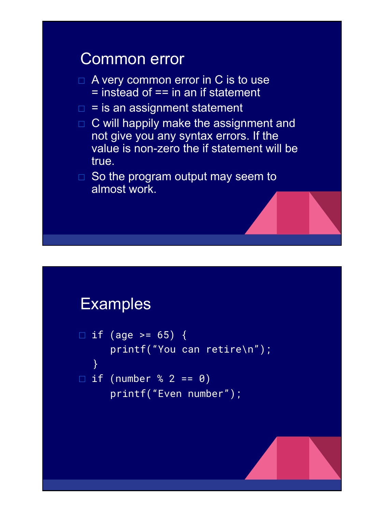#### Common error

- $\Box$  A very common error in C is to use  $=$  instead of  $==$  in an if statement
- $\Box$  = is an assignment statement
- □ C will happily make the assignment and not give you any syntax errors. If the value is non-zero the if statement will be true.

 $\Box$  So the program output may seem to almost work.

#### Examples

```
\Box if (age >= 65) {
      printf("You can retire\n");
    }
\Box if (number % 2 == 0)
       printf("Even number");
```
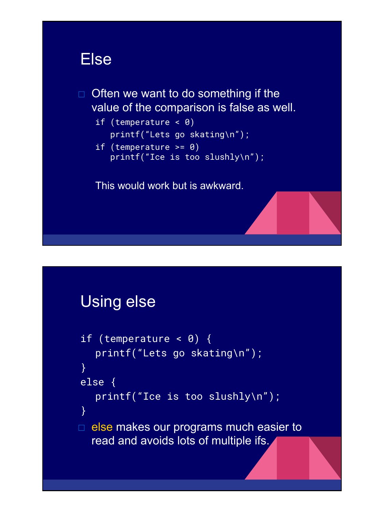#### Else

 $\Box$  Often we want to do something if the value of the comparison is false as well.

```
if (temperature < 0) 
   printf("Lets go skating\n");
if (temperature >= 0)
```

```
printf("Ice is too slushly\n");
```
This would work but is awkward.

### Using else

```
if (temperature < \theta) {
   printf("Lets go skating\n");
}
else {
   printf("Ice is too slushly\n");
}
\Box else makes our programs much easier to
  read and avoids lots of multiple ifs.
```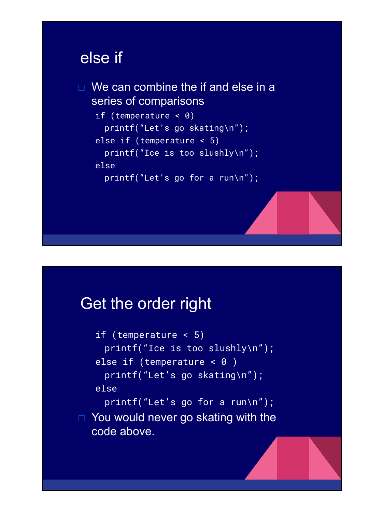#### else if

```
\Box We can combine the if and else in a
  series of comparisons
   if (temperature < 0) 
     printf("Let's go skating\n");
   else if (temperature < 5) 
     printf("Ice is too slushly\n");
   else 
     printf("Let's go for a run\n");
```
## Get the order right

if (temperature < 5) printf("Ice is too slushly\n"); else if (temperature  $< 0$ ) printf("Let's go skating\n"); else printf("Let's go for a run\n");  $\Box$  You would never go skating with the code above.